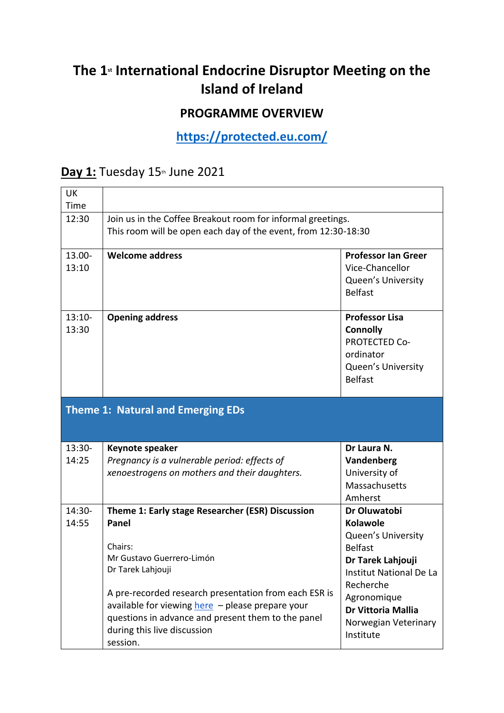## The 1<sup>*s*</sup> International Endocrine Disruptor Meeting on the **Island of Ireland**

## **PROGRAMME OVERVIEW**

**<https://protected.eu.com/>**

## **Day 1:** Tuesday 15<sup>th</sup> June 2021

| <b>UK</b> |                                                                |                                      |  |
|-----------|----------------------------------------------------------------|--------------------------------------|--|
| Time      |                                                                |                                      |  |
| 12:30     | Join us in the Coffee Breakout room for informal greetings.    |                                      |  |
|           | This room will be open each day of the event, from 12:30-18:30 |                                      |  |
|           |                                                                |                                      |  |
| 13.00-    | <b>Welcome address</b>                                         | <b>Professor Ian Greer</b>           |  |
| 13:10     |                                                                | Vice-Chancellor                      |  |
|           |                                                                | Queen's University<br><b>Belfast</b> |  |
|           |                                                                |                                      |  |
| $13:10-$  | <b>Opening address</b>                                         | <b>Professor Lisa</b>                |  |
| 13:30     |                                                                | <b>Connolly</b>                      |  |
|           |                                                                | <b>PROTECTED Co-</b>                 |  |
|           |                                                                | ordinator                            |  |
|           |                                                                | Queen's University                   |  |
|           |                                                                | <b>Belfast</b>                       |  |
|           | <b>Theme 1: Natural and Emerging EDs</b>                       |                                      |  |
| $13:30-$  | Keynote speaker                                                | Dr Laura N.                          |  |
| 14:25     | Pregnancy is a vulnerable period: effects of                   | Vandenberg                           |  |
|           | xenoestrogens on mothers and their daughters.                  | University of                        |  |
|           |                                                                | Massachusetts                        |  |
|           |                                                                | Amherst                              |  |
| 14:30-    | Theme 1: Early stage Researcher (ESR) Discussion               | Dr Oluwatobi                         |  |
| 14:55     | Panel                                                          | <b>Kolawole</b>                      |  |
|           |                                                                | <b>Queen's University</b>            |  |
|           | Chairs:                                                        | <b>Belfast</b>                       |  |
|           | Mr Gustavo Guerrero-Limón                                      | Dr Tarek Lahjouji                    |  |
|           | Dr Tarek Lahjouji                                              | Institut National De La              |  |
|           | A pre-recorded research presentation from each ESR is          | Recherche                            |  |
|           | available for viewing here - please prepare your               | Agronomique                          |  |
|           | questions in advance and present them to the panel             | Dr Vittoria Mallia                   |  |
|           |                                                                | Norwegian Veterinary                 |  |
|           | during this live discussion                                    | Institute                            |  |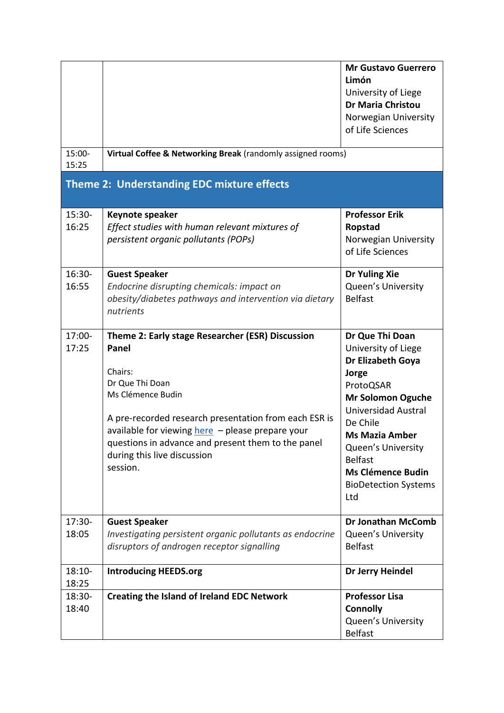|                                                   |                                                                                                                                                                                                                                                                                                                            | <b>Mr Gustavo Guerrero</b><br>Limón<br>University of Liege<br><b>Dr Maria Christou</b><br>Norwegian University<br>of Life Sciences                                                                                                                                                  |  |  |
|---------------------------------------------------|----------------------------------------------------------------------------------------------------------------------------------------------------------------------------------------------------------------------------------------------------------------------------------------------------------------------------|-------------------------------------------------------------------------------------------------------------------------------------------------------------------------------------------------------------------------------------------------------------------------------------|--|--|
| 15:00-<br>15:25                                   | Virtual Coffee & Networking Break (randomly assigned rooms)                                                                                                                                                                                                                                                                |                                                                                                                                                                                                                                                                                     |  |  |
| <b>Theme 2: Understanding EDC mixture effects</b> |                                                                                                                                                                                                                                                                                                                            |                                                                                                                                                                                                                                                                                     |  |  |
| 15:30-<br>16:25                                   | Keynote speaker<br>Effect studies with human relevant mixtures of<br>persistent organic pollutants (POPs)                                                                                                                                                                                                                  | <b>Professor Erik</b><br>Ropstad<br>Norwegian University<br>of Life Sciences                                                                                                                                                                                                        |  |  |
| 16:30-<br>16:55                                   | <b>Guest Speaker</b><br>Endocrine disrupting chemicals: impact on<br>obesity/diabetes pathways and intervention via dietary<br>nutrients                                                                                                                                                                                   | Dr Yuling Xie<br>Queen's University<br><b>Belfast</b>                                                                                                                                                                                                                               |  |  |
| 17:00-<br>17:25                                   | Theme 2: Early stage Researcher (ESR) Discussion<br>Panel<br>Chairs:<br>Dr Que Thi Doan<br>Ms Clémence Budin<br>A pre-recorded research presentation from each ESR is<br>available for viewing here - please prepare your<br>questions in advance and present them to the panel<br>during this live discussion<br>session. | Dr Que Thi Doan<br>University of Liege<br>Dr Elizabeth Goya<br>Jorge<br>ProtoQSAR<br><b>Mr Solomon Oguche</b><br>Universidad Austral<br>De Chile<br><b>Ms Mazia Amber</b><br>Queen's University<br><b>Belfast</b><br><b>Ms Clémence Budin</b><br><b>BioDetection Systems</b><br>Ltd |  |  |
| 17:30-<br>18:05                                   | <b>Guest Speaker</b><br>Investigating persistent organic pollutants as endocrine<br>disruptors of androgen receptor signalling                                                                                                                                                                                             | <b>Dr Jonathan McComb</b><br>Queen's University<br><b>Belfast</b>                                                                                                                                                                                                                   |  |  |
| $18:10-$<br>18:25                                 | <b>Introducing HEEDS.org</b>                                                                                                                                                                                                                                                                                               | Dr Jerry Heindel                                                                                                                                                                                                                                                                    |  |  |
| 18:30-<br>18:40                                   | <b>Creating the Island of Ireland EDC Network</b>                                                                                                                                                                                                                                                                          | <b>Professor Lisa</b><br><b>Connolly</b><br>Queen's University<br><b>Belfast</b>                                                                                                                                                                                                    |  |  |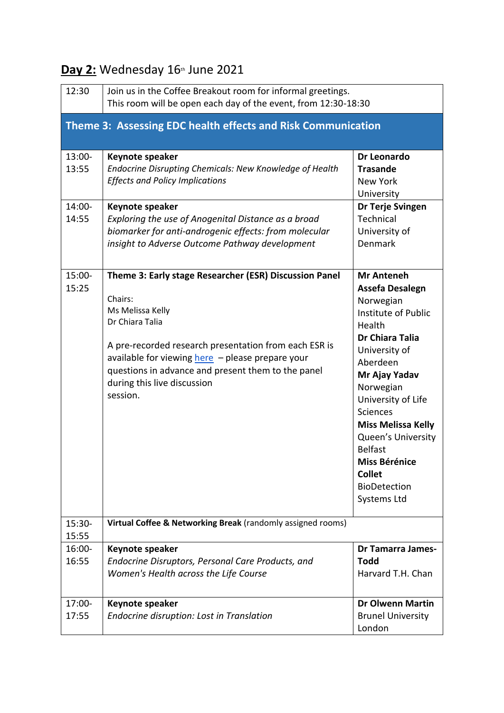| 12:30                                                        | Join us in the Coffee Breakout room for informal greetings.<br>This room will be open each day of the event, from 12:30-18:30                                                                                                                                                                                          |                                                                                                                                                                                                                                                                                                                                                                             |  |  |
|--------------------------------------------------------------|------------------------------------------------------------------------------------------------------------------------------------------------------------------------------------------------------------------------------------------------------------------------------------------------------------------------|-----------------------------------------------------------------------------------------------------------------------------------------------------------------------------------------------------------------------------------------------------------------------------------------------------------------------------------------------------------------------------|--|--|
| Theme 3: Assessing EDC health effects and Risk Communication |                                                                                                                                                                                                                                                                                                                        |                                                                                                                                                                                                                                                                                                                                                                             |  |  |
| 13:00-<br>13:55<br>14:00-<br>14:55                           | Keynote speaker<br><b>Endocrine Disrupting Chemicals: New Knowledge of Health</b><br><b>Effects and Policy Implications</b><br>Keynote speaker<br>Exploring the use of Anogenital Distance as a broad<br>biomarker for anti-androgenic effects: from molecular<br>insight to Adverse Outcome Pathway development       | Dr Leonardo<br><b>Trasande</b><br><b>New York</b><br>University<br>Dr Terje Svingen<br>Technical<br>University of<br><b>Denmark</b>                                                                                                                                                                                                                                         |  |  |
| 15:00-<br>15:25                                              | Theme 3: Early stage Researcher (ESR) Discussion Panel<br>Chairs:<br>Ms Melissa Kelly<br>Dr Chiara Talia<br>A pre-recorded research presentation from each ESR is<br>available for viewing here - please prepare your<br>questions in advance and present them to the panel<br>during this live discussion<br>session. | <b>Mr Anteneh</b><br><b>Assefa Desalegn</b><br>Norwegian<br>Institute of Public<br>Health<br><b>Dr Chiara Talia</b><br>University of<br>Aberdeen<br>Mr Ajay Yadav<br>Norwegian<br>University of Life<br><b>Sciences</b><br><b>Miss Melissa Kelly</b><br>Queen's University<br><b>Belfast</b><br><b>Miss Bérénice</b><br><b>Collet</b><br><b>BioDetection</b><br>Systems Ltd |  |  |
| 15:30-<br>15:55                                              | Virtual Coffee & Networking Break (randomly assigned rooms)                                                                                                                                                                                                                                                            |                                                                                                                                                                                                                                                                                                                                                                             |  |  |
| $16:00 -$<br>16:55                                           | Keynote speaker<br>Endocrine Disruptors, Personal Care Products, and<br>Women's Health across the Life Course                                                                                                                                                                                                          | <b>Dr Tamarra James-</b><br>Todd<br>Harvard T.H. Chan                                                                                                                                                                                                                                                                                                                       |  |  |
| 17:00-<br>17:55                                              | Keynote speaker<br>Endocrine disruption: Lost in Translation                                                                                                                                                                                                                                                           | <b>Dr Olwenn Martin</b><br><b>Brunel University</b><br>London                                                                                                                                                                                                                                                                                                               |  |  |

## **Day 2:** Wednesday 16th June 2021